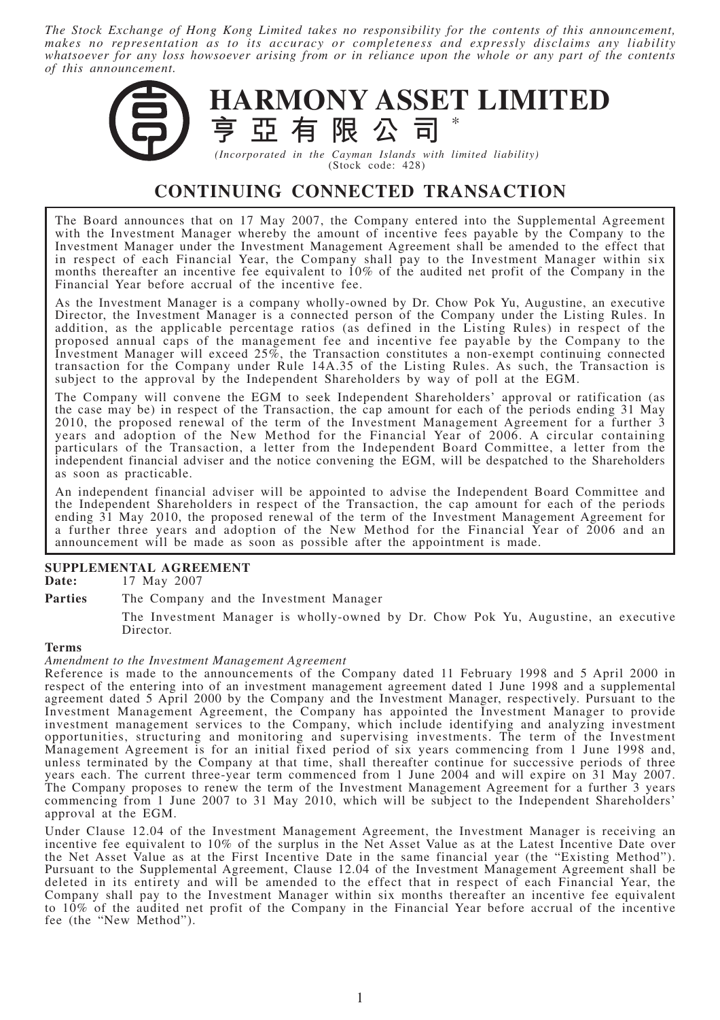*The Stock Exchange of Hong Kong Limited takes no responsibility for the contents of this announcement, makes no representation as to its accuracy or completeness and expressly disclaims any liability whatsoever for any loss howsoever arising from or in reliance upon the whole or any part of the contents of this announcement.*



(Stock code: 428)

# **CONTINUING CONNECTED TRANSACTION**

The Board announces that on 17 May 2007, the Company entered into the Supplemental Agreement with the Investment Manager whereby the amount of incentive fees payable by the Company to the Investment Manager under the Investment Management Agreement shall be amended to the effect that in respect of each Financial Year, the Company shall pay to the Investment Manager within six months thereafter an incentive fee equivalent to 10% of the audited net profit of the Company in the Financial Year before accrual of the incentive fee.

As the Investment Manager is a company wholly-owned by Dr. Chow Pok Yu, Augustine, an executive Director, the Investment Manager is a connected person of the Company under the Listing Rules. In addition, as the applicable percentage ratios (as defined in the Listing Rules) in respect of the proposed annual caps of the management fee and incentive fee payable by the Company to the Investment Manager will exceed 25%, the Transaction constitutes a non-exempt continuing connected transaction for the Company under Rule 14A.35 of the Listing Rules. As such, the Transaction is subject to the approval by the Independent Shareholders by way of poll at the EGM.

The Company will convene the EGM to seek Independent Shareholders' approval or ratification (as the case may be) in respect of the Transaction, the cap amount for each of the periods ending 31 May 2010, the proposed renewal of the term of the Investment Management Agreement for a further 3 years and adoption of the New Method for the Financial Year of 2006. A circular containing particulars of the Transaction, a letter from the Independent Board Committee, a letter from the independent financial adviser and the notice convening the EGM, will be despatched to the Shareholders as soon as practicable.

An independent financial adviser will be appointed to advise the Independent Board Committee and the Independent Shareholders in respect of the Transaction, the cap amount for each of the periods ending 31 May 2010, the proposed renewal of the term of the Investment Management Agreement for a further three years and adoption of the New Method for the Financial Year of 2006 and an announcement will be made as soon as possible after the appointment is made.

# **SUPPLEMENTAL AGREEMENT**<br>Date: 17 May 2007

**Date:** 17 May 2007

# Parties The Company and the Investment Manager

The Investment Manager is wholly-owned by Dr. Chow Pok Yu, Augustine, an executive Director.

#### **Terms**

#### *Amendment to the Investment Management Agreement*

Reference is made to the announcements of the Company dated 11 February 1998 and 5 April 2000 in respect of the entering into of an investment management agreement dated 1 June 1998 and a supplemental agreement dated 5 April 2000 by the Company and the Investment Manager, respectively. Pursuant to the Investment Management Agreement, the Company has appointed the Investment Manager to provide investment management services to the Company, which include identifying and analyzing investment opportunities, structuring and monitoring and supervising investments. The term of the Investment Management Agreement is for an initial fixed period of six years commencing from 1 June 1998 and, unless terminated by the Company at that time, shall thereafter continue for successive periods of three years each. The current three-year term commenced from 1 June 2004 and will expire on 31 May 2007. The Company proposes to renew the term of the Investment Management Agreement for a further 3 years commencing from 1 June 2007 to 31 May 2010, which will be subject to the Independent Shareholders' approval at the EGM.

Under Clause 12.04 of the Investment Management Agreement, the Investment Manager is receiving an incentive fee equivalent to 10% of the surplus in the Net Asset Value as at the Latest Incentive Date over the Net Asset Value as at the First Incentive Date in the same financial year (the "Existing Method"). Pursuant to the Supplemental Agreement, Clause 12.04 of the Investment Management Agreement shall be deleted in its entirety and will be amended to the effect that in respect of each Financial Year, the Company shall pay to the Investment Manager within six months thereafter an incentive fee equivalent to 10% of the audited net profit of the Company in the Financial Year before accrual of the incentive fee (the "New Method").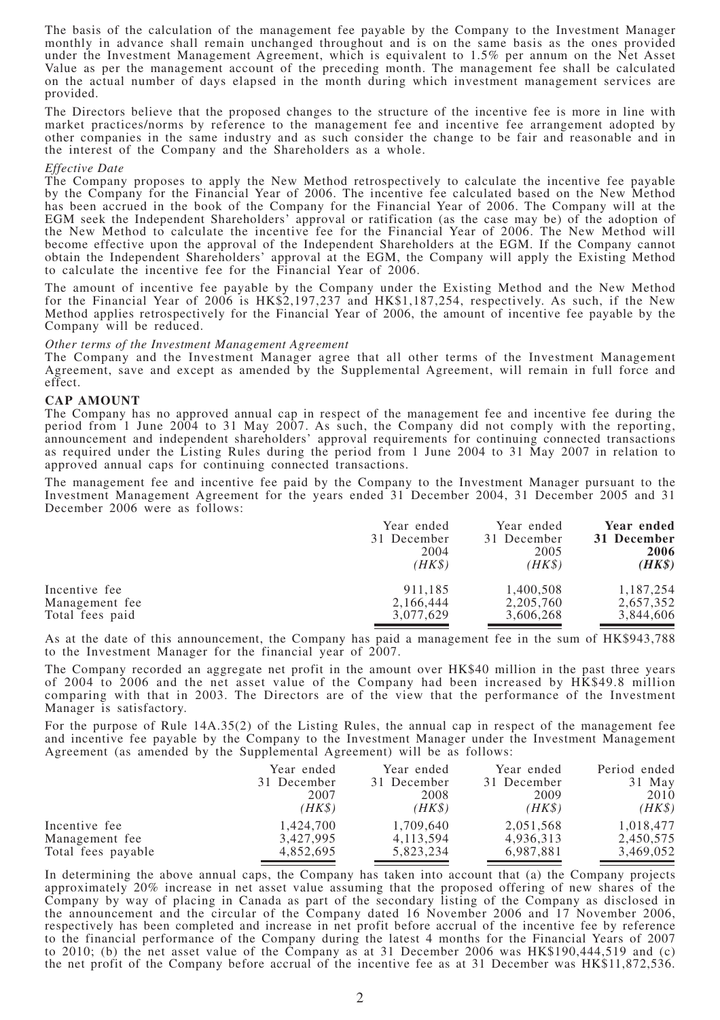The basis of the calculation of the management fee payable by the Company to the Investment Manager monthly in advance shall remain unchanged throughout and is on the same basis as the ones provided under the Investment Management Agreement, which is equivalent to 1.5% per annum on the Net Asset Value as per the management account of the preceding month. The management fee shall be calculated on the actual number of days elapsed in the month during which investment management services are provided.

The Directors believe that the proposed changes to the structure of the incentive fee is more in line with market practices/norms by reference to the management fee and incentive fee arrangement adopted by other companies in the same industry and as such consider the change to be fair and reasonable and in the interest of the Company and the Shareholders as a whole.

#### *Effective Date*

The Company proposes to apply the New Method retrospectively to calculate the incentive fee payable by the Company for the Financial Year of 2006. The incentive fee calculated based on the New Method has been accrued in the book of the Company for the Financial Year of 2006. The Company will at the EGM seek the Independent Shareholders' approval or ratification (as the case may be) of the adoption of the New Method to calculate the incentive fee for the Financial Year of 2006. The New Method will become effective upon the approval of the Independent Shareholders at the EGM. If the Company cannot obtain the Independent Shareholders' approval at the EGM, the Company will apply the Existing Method to calculate the incentive fee for the Financial Year of 2006.

The amount of incentive fee payable by the Company under the Existing Method and the New Method for the Financial Year of 2006 is HK\$2,197,237 and HK\$1,187,254, respectively. As such, if the New Method applies retrospectively for the Financial Year of 2006, the amount of incentive fee payable by the Company will be reduced.

# *Other terms of the Investment Management Agreement*

The Company and the Investment Manager agree that all other terms of the Investment Management Agreement, save and except as amended by the Supplemental Agreement, will remain in full force and effect.

#### **CAP AMOUNT**

The Company has no approved annual cap in respect of the management fee and incentive fee during the period from 1 June 2004 to 31 May 2007. As such, the Company did not comply with the reporting, announcement and independent shareholders' approval requirements for continuing connected transactions as required under the Listing Rules during the period from 1 June 2004 to 31 May 2007 in relation to approved annual caps for continuing connected transactions.

The management fee and incentive fee paid by the Company to the Investment Manager pursuant to the Investment Management Agreement for the years ended 31 December 2004, 31 December 2005 and 31 December 2006 were as follows:

|                 | Year ended<br>31 December<br>2004<br>(HK\$) | Year ended<br>31 December<br>2005<br>(HK\$ | Year ended<br>31 December<br>2006<br>$(HK\$ |
|-----------------|---------------------------------------------|--------------------------------------------|---------------------------------------------|
| Incentive fee   | 911,185                                     | 1,400,508                                  | 1,187,254                                   |
| Management fee  | 2,166,444                                   | 2, 205, 760                                | 2,657,352                                   |
| Total fees paid | 3,077,629                                   | 3,606,268                                  | 3,844,606                                   |

As at the date of this announcement, the Company has paid a management fee in the sum of HK\$943,788 to the Investment Manager for the financial year of 2007.

The Company recorded an aggregate net profit in the amount over HK\$40 million in the past three years of 2004 to 2006 and the net asset value of the Company had been increased by HK\$49.8 million comparing with that in 2003. The Directors are of the view that the performance of the Investment Manager is satisfactory.

For the purpose of Rule 14A.35(2) of the Listing Rules, the annual cap in respect of the management fee and incentive fee payable by the Company to the Investment Manager under the Investment Management Agreement (as amended by the Supplemental Agreement) will be as follows:

|                    | Year ended<br>31 December<br>2007<br>(HK\$) | Year ended<br>31 December<br>2008<br>$(HK\$ | Year ended<br>31 December<br>2009<br>(HK\$) | Period ended<br>31 May<br>2010<br>$(HK\$ |
|--------------------|---------------------------------------------|---------------------------------------------|---------------------------------------------|------------------------------------------|
| Incentive fee      | 1,424,700                                   | 1,709,640                                   | 2,051,568                                   | 1,018,477                                |
| Management fee     | 3.427.995                                   | 4, 113, 594                                 | 4,936,313                                   | 2,450,575                                |
| Total fees payable | 4,852,695                                   | 5,823,234                                   | 6,987,881                                   | 3,469,052                                |

In determining the above annual caps, the Company has taken into account that (a) the Company projects approximately 20% increase in net asset value assuming that the proposed offering of new shares of the Company by way of placing in Canada as part of the secondary listing of the Company as disclosed in the announcement and the circular of the Company dated 16 November 2006 and 17 November 2006, respectively has been completed and increase in net profit before accrual of the incentive fee by reference to the financial performance of the Company during the latest 4 months for the Financial Years of 2007 to 2010; (b) the net asset value of the Company as at 31 December 2006 was HK\$190,444,519 and (c) the net profit of the Company before accrual of the incentive fee as at 31 December was HK\$11,872,536.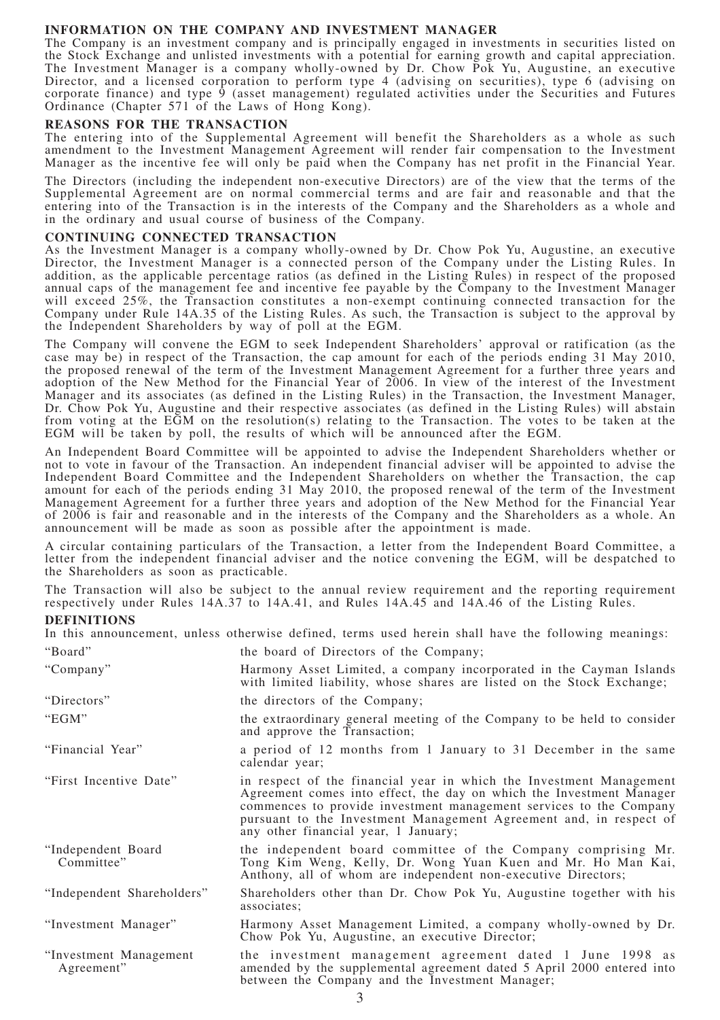# **INFORMATION ON THE COMPANY AND INVESTMENT MANAGER**

The Company is an investment company and is principally engaged in investments in securities listed on the Stock Exchange and unlisted investments with a potential for earning growth and capital appreciation. The Investment Manager is a company wholly-owned by Dr. Chow Pok Yu, Augustine, an executive Director, and a licensed corporation to perform type 4 (advising on securities), type 6 (advising on corporate finance) and type 9 (asset management) regulated activities under the Securities and Futures Ordinance (Chapter 571 of the Laws of Hong Kong).

# **REASONS FOR THE TRANSACTION**

The entering into of the Supplemental Agreement will benefit the Shareholders as a whole as such amendment to the Investment Management Agreement will render fair compensation to the Investment Manager as the incentive fee will only be paid when the Company has net profit in the Financial Year.

The Directors (including the independent non-executive Directors) are of the view that the terms of the Supplemental Agreement are on normal commercial terms and are fair and reasonable and that the entering into of the Transaction is in the interests of the Company and the Shareholders as a whole and in the ordinary and usual course of business of the Company.

# **CONTINUING CONNECTED TRANSACTION**

As the Investment Manager is a company wholly-owned by Dr. Chow Pok Yu, Augustine, an executive Director, the Investment Manager is a connected person of the Company under the Listing Rules. In addition, as the applicable percentage ratios (as defined in the Listing Rules) in respect of the proposed annual caps of the management fee and incentive fee payable by the Company to the Investment Manager will exceed 25%, the Transaction constitutes a non-exempt continuing connected transaction for the Company under Rule 14A.35 of the Listing Rules. As such, the Transaction is subject to the approval by the Independent Shareholders by way of poll at the EGM.

The Company will convene the EGM to seek Independent Shareholders' approval or ratification (as the case may be) in respect of the Transaction, the cap amount for each of the periods ending 31 May 2010, the proposed renewal of the term of the Investment Management Agreement for a further three years and adoption of the New Method for the Financial Year of 2006. In view of the interest of the Investment Manager and its associates (as defined in the Listing Rules) in the Transaction, the Investment Manager, Dr. Chow Pok Yu, Augustine and their respective associates (as defined in the Listing Rules) will abstain from voting at the EGM on the resolution(s) relating to the Transaction. The votes to be taken at the EGM will be taken by poll, the results of which will be announced after the EGM.

An Independent Board Committee will be appointed to advise the Independent Shareholders whether or not to vote in favour of the Transaction. An independent financial adviser will be appointed to advise the Independent Board Committee and the Independent Shareholders on whether the Transaction, the cap amount for each of the periods ending 31 May 2010, the proposed renewal of the term of the Investment Management Agreement for a further three years and adoption of the New Method for the Financial Year of 2006 is fair and reasonable and in the interests of the Company and the Shareholders as a whole. An announcement will be made as soon as possible after the appointment is made.

A circular containing particulars of the Transaction, a letter from the Independent Board Committee, a letter from the independent financial adviser and the notice convening the EGM, will be despatched to the Shareholders as soon as practicable.

The Transaction will also be subject to the annual review requirement and the reporting requirement respectively under Rules 14A.37 to 14A.41, and Rules 14A.45 and 14A.46 of the Listing Rules.

#### **DEFINITIONS**

In this announcement, unless otherwise defined, terms used herein shall have the following meanings: "Board" the board of Directors of the Company;

| "Company"                            | Harmony Asset Limited, a company incorporated in the Cayman Islands<br>with limited liability, whose shares are listed on the Stock Exchange;                                                                                                                                                                                   |
|--------------------------------------|---------------------------------------------------------------------------------------------------------------------------------------------------------------------------------------------------------------------------------------------------------------------------------------------------------------------------------|
| "Directors"                          | the directors of the Company;                                                                                                                                                                                                                                                                                                   |
| "EGM"                                | the extraordinary general meeting of the Company to be held to consider<br>and approve the Transaction;                                                                                                                                                                                                                         |
| "Financial Year"                     | a period of 12 months from 1 January to 31 December in the same<br>calendar year;                                                                                                                                                                                                                                               |
| "First Incentive Date"               | in respect of the financial year in which the Investment Management<br>Agreement comes into effect, the day on which the Investment Manager<br>commences to provide investment management services to the Company<br>pursuant to the Investment Management Agreement and, in respect of<br>any other financial year, 1 January; |
| "Independent Board<br>Committee"     | the independent board committee of the Company comprising Mr.<br>Tong Kim Weng, Kelly, Dr. Wong Yuan Kuen and Mr. Ho Man Kai,<br>Anthony, all of whom are independent non-executive Directors;                                                                                                                                  |
| "Independent Shareholders"           | Shareholders other than Dr. Chow Pok Yu, Augustine together with his<br>associates;                                                                                                                                                                                                                                             |
| "Investment Manager"                 | Harmony Asset Management Limited, a company wholly-owned by Dr.<br>Chow Pok Yu, Augustine, an executive Director;                                                                                                                                                                                                               |
| "Investment Management<br>Agreement" | the investment management agreement dated 1 June 1998 as<br>amended by the supplemental agreement dated 5 April 2000 entered into<br>between the Company and the Investment Manager;                                                                                                                                            |